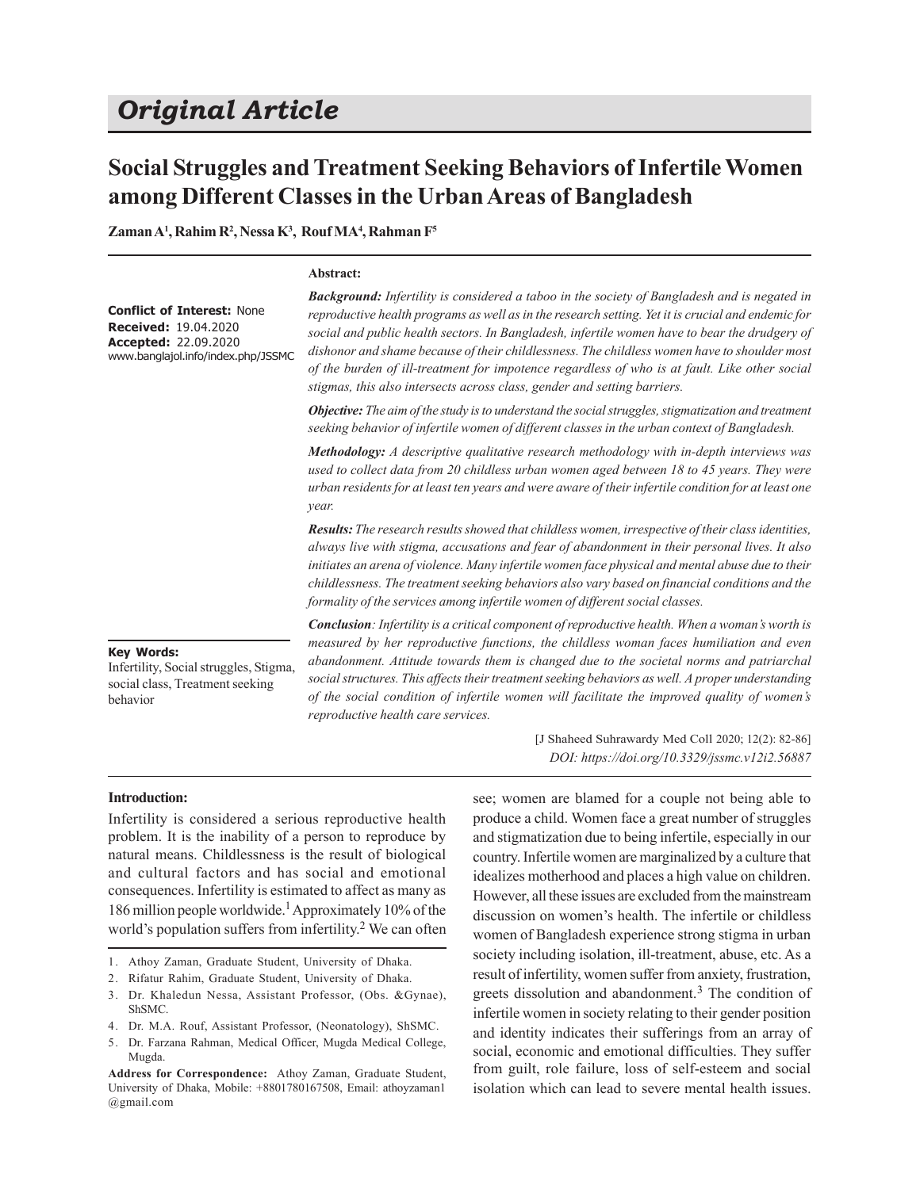# *Original Article*

## **Social Struggles and Treatment Seeking Behaviors of Infertile Women among Different Classes in the Urban Areas of Bangladesh**

**Zaman A<sup>1</sup> , Rahim R<sup>2</sup> , Nessa K<sup>3</sup> , Rouf MA<sup>4</sup> , Rahman F<sup>5</sup>**

#### **Abstract:**

**Conflict of Interest:** None **Received:** 19.04.2020 **Accepted:** 22.09.2020 www.banglajol.info/index.php/JSSMC *Background: Infertility is considered a taboo in the society of Bangladesh and is negated in reproductive health programs as well as in the research setting. Yet it is crucial and endemic for social and public health sectors. In Bangladesh, infertile women have to bear the drudgery of dishonor and shame because of their childlessness. The childless women have to shoulder most of the burden of ill-treatment for impotence regardless of who is at fault. Like other social stigmas, this also intersects across class, gender and setting barriers.*

*Objective: The aim of the study is to understand the social struggles, stigmatization and treatment seeking behavior of infertile women of different classes in the urban context of Bangladesh.*

*Methodology: A descriptive qualitative research methodology with in-depth interviews was used to collect data from 20 childless urban women aged between 18 to 45 years. They were urban residents for at least ten years and were aware of their infertile condition for at least one year.*

*Results: The research results showed that childless women, irrespective of their class identities, always live with stigma, accusations and fear of abandonment in their personal lives. It also initiates an arena of violence. Many infertile women face physical and mental abuse due to their childlessness. The treatment seeking behaviors also vary based on financial conditions and the formality of the services among infertile women of different social classes.*

#### **Key Words:**

Infertility, Social struggles, Stigma, social class, Treatment seeking behavior

*Conclusion: Infertility is a critical component of reproductive health. When a woman's worth is measured by her reproductive functions, the childless woman faces humiliation and even abandonment. Attitude towards them is changed due to the societal norms and patriarchal social structures. This affects their treatment seeking behaviors as well. A proper understanding of the social condition of infertile women will facilitate the improved quality of women's reproductive health care services.*

#### **Introduction:**

Infertility is considered a serious reproductive health problem. It is the inability of a person to reproduce by natural means. Childlessness is the result of biological and cultural factors and has social and emotional consequences. Infertility is estimated to affect as many as 186 million people worldwide.<sup>1</sup> Approximately 10% of the world's population suffers from infertility.<sup>2</sup> We can often

- 1. Athoy Zaman, Graduate Student, University of Dhaka.
- 2. Rifatur Rahim, Graduate Student, University of Dhaka.
- 3. Dr. Khaledun Nessa, Assistant Professor, (Obs. &Gynae), ShSMC.
- 4. Dr. M.A. Rouf, Assistant Professor, (Neonatology), ShSMC.
- 5. Dr. Farzana Rahman, Medical Officer, Mugda Medical College, Mugda.

[J Shaheed Suhrawardy Med Coll 2020; 12(2): 82-86] *DOI: https://doi.org/10.3329/jssmc.v12i2.56887*

see; women are blamed for a couple not being able to produce a child. Women face a great number of struggles and stigmatization due to being infertile, especially in our country. Infertile women are marginalized by a culture that idealizes motherhood and places a high value on children. However, all these issues are excluded from the mainstream discussion on women's health. The infertile or childless women of Bangladesh experience strong stigma in urban society including isolation, ill-treatment, abuse, etc. As a result of infertility, women suffer from anxiety, frustration, greets dissolution and abandonment.<sup>3</sup> The condition of infertile women in society relating to their gender position and identity indicates their sufferings from an array of social, economic and emotional difficulties. They suffer from guilt, role failure, loss of self-esteem and social isolation which can lead to severe mental health issues.

**Address for Correspondence:** Athoy Zaman, Graduate Student, University of Dhaka, Mobile: +8801780167508, Email: athoyzaman1 @gmail.com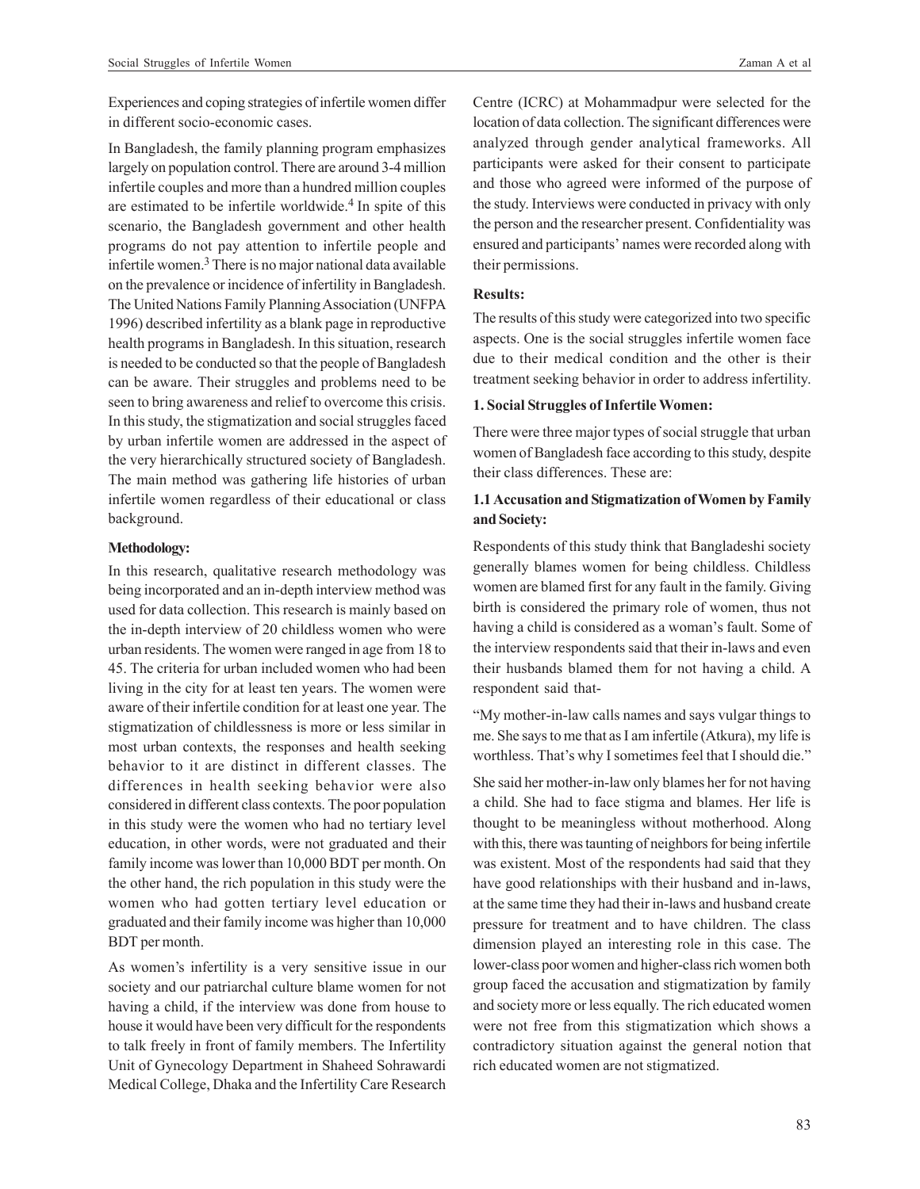Experiences and coping strategies of infertile women differ in different socio-economic cases.

In Bangladesh, the family planning program emphasizes largely on population control. There are around 3-4 million infertile couples and more than a hundred million couples are estimated to be infertile worldwide.<sup>4</sup> In spite of this scenario, the Bangladesh government and other health programs do not pay attention to infertile people and infertile women.<sup>3</sup> There is no major national data available on the prevalence or incidence of infertility in Bangladesh. The United Nations Family Planning Association (UNFPA 1996) described infertility as a blank page in reproductive health programs in Bangladesh. In this situation, research is needed to be conducted so that the people of Bangladesh can be aware. Their struggles and problems need to be seen to bring awareness and relief to overcome this crisis. In this study, the stigmatization and social struggles faced by urban infertile women are addressed in the aspect of the very hierarchically structured society of Bangladesh. The main method was gathering life histories of urban infertile women regardless of their educational or class background.

#### **Methodology:**

In this research, qualitative research methodology was being incorporated and an in-depth interview method was used for data collection. This research is mainly based on the in-depth interview of 20 childless women who were urban residents. The women were ranged in age from 18 to 45. The criteria for urban included women who had been living in the city for at least ten years. The women were aware of their infertile condition for at least one year. The stigmatization of childlessness is more or less similar in most urban contexts, the responses and health seeking behavior to it are distinct in different classes. The differences in health seeking behavior were also considered in different class contexts. The poor population in this study were the women who had no tertiary level education, in other words, were not graduated and their family income was lower than 10,000 BDT per month. On the other hand, the rich population in this study were the women who had gotten tertiary level education or graduated and their family income was higher than 10,000 BDT per month.

As women's infertility is a very sensitive issue in our society and our patriarchal culture blame women for not having a child, if the interview was done from house to house it would have been very difficult for the respondents to talk freely in front of family members. The Infertility Unit of Gynecology Department in Shaheed Sohrawardi Medical College, Dhaka and the Infertility Care Research

Centre (ICRC) at Mohammadpur were selected for the location of data collection. The significant differences were analyzed through gender analytical frameworks. All participants were asked for their consent to participate and those who agreed were informed of the purpose of the study. Interviews were conducted in privacy with only the person and the researcher present. Confidentiality was ensured and participants' names were recorded along with their permissions.

## **Results:**

The results of this study were categorized into two specific aspects. One is the social struggles infertile women face due to their medical condition and the other is their treatment seeking behavior in order to address infertility.

## **1. Social Struggles of Infertile Women:**

There were three major types of social struggle that urban women of Bangladesh face according to this study, despite their class differences. These are:

## **1.1 Accusation and Stigmatization of Women by Family and Society:**

Respondents of this study think that Bangladeshi society generally blames women for being childless. Childless women are blamed first for any fault in the family. Giving birth is considered the primary role of women, thus not having a child is considered as a woman's fault. Some of the interview respondents said that their in-laws and even their husbands blamed them for not having a child. A respondent said that-

"My mother-in-law calls names and says vulgar things to me. She says to me that as I am infertile (Atkura), my life is worthless. That's why I sometimes feel that I should die."

She said her mother-in-law only blames her for not having a child. She had to face stigma and blames. Her life is thought to be meaningless without motherhood. Along with this, there was taunting of neighbors for being infertile was existent. Most of the respondents had said that they have good relationships with their husband and in-laws, at the same time they had their in-laws and husband create pressure for treatment and to have children. The class dimension played an interesting role in this case. The lower-class poor women and higher-class rich women both group faced the accusation and stigmatization by family and society more or less equally. The rich educated women were not free from this stigmatization which shows a contradictory situation against the general notion that rich educated women are not stigmatized.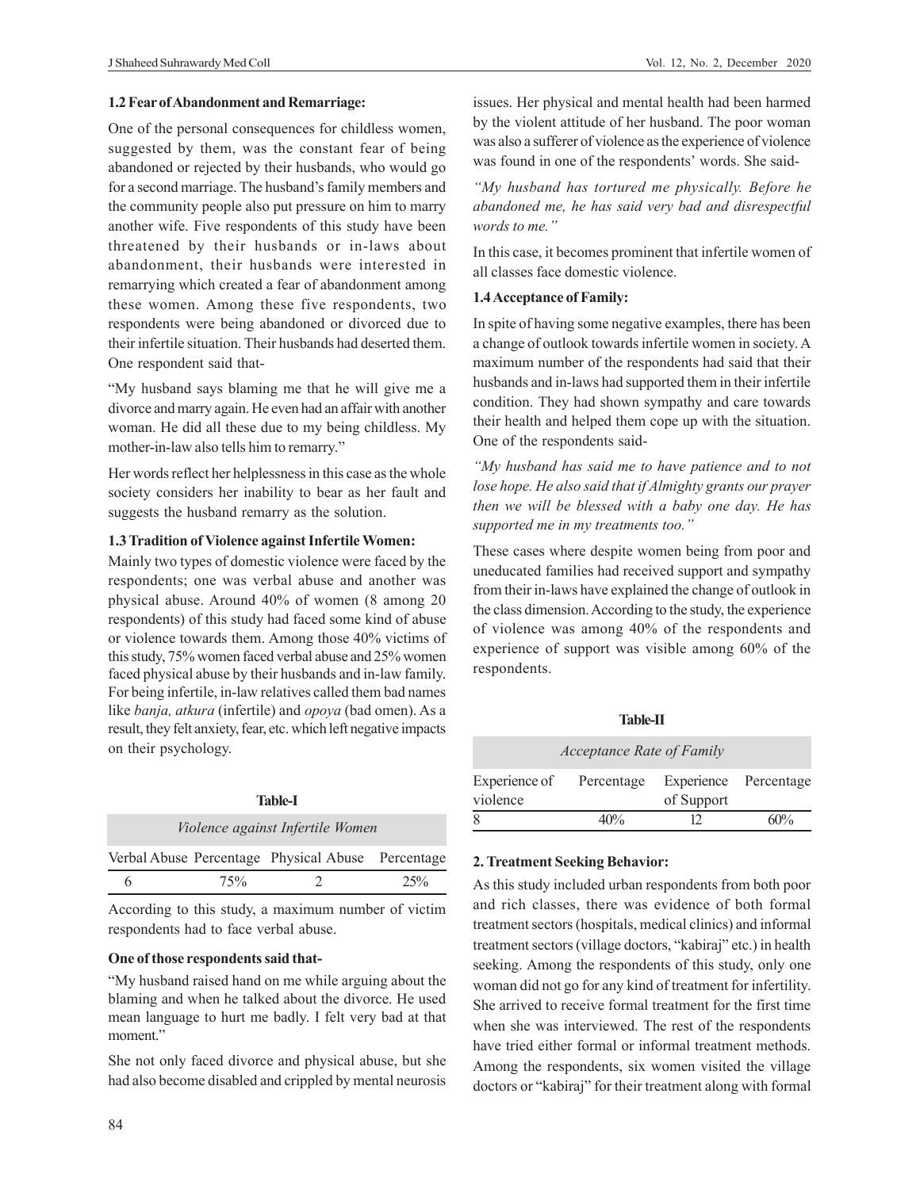#### **1.2 Fear of Abandonment and Remarriage:**

One of the personal consequences for childless women, suggested by them, was the constant fear of being abandoned or rejected by their husbands, who would go for a second marriage. The husband's family members and the community people also put pressure on him to marry another wife. Five respondents of this study have been threatened by their husbands or in-laws about abandonment, their husbands were interested in remarrying which created a fear of abandonment among these women. Among these five respondents, two respondents were being abandoned or divorced due to their infertile situation. Their husbands had deserted them. One respondent said that-

"My husband says blaming me that he will give me a divorce and marry again. He even had an affair with another woman. He did all these due to my being childless. My mother-in-law also tells him to remarry."

Her words reflect her helplessness in this case as the whole society considers her inability to bear as her fault and suggests the husband remarry as the solution.

#### **1.3 Tradition of Violence against Infertile Women:**

Mainly two types of domestic violence were faced by the respondents; one was verbal abuse and another was physical abuse. Around 40% of women (8 among 20 respondents) of this study had faced some kind of abuse or violence towards them. Among those 40% victims of this study, 75% women faced verbal abuse and 25% women faced physical abuse by their husbands and in-law family. For being infertile, in-law relatives called them bad names like *banja, atkura* (infertile) and *opoya* (bad omen). As a result, they felt anxiety, fear, etc. which left negative impacts on their psychology.

| Table-L                                 |     |                                                   |        |  |  |
|-----------------------------------------|-----|---------------------------------------------------|--------|--|--|
| <i>Violence against Infertile Women</i> |     |                                                   |        |  |  |
|                                         |     | Verbal Abuse Percentage Physical Abuse Percentage |        |  |  |
|                                         | 75% |                                                   | $25\%$ |  |  |

According to this study, a maximum number of victim respondents had to face verbal abuse.

#### **One of those respondents said that-**

"My husband raised hand on me while arguing about the blaming and when he talked about the divorce. He used mean language to hurt me badly. I felt very bad at that moment."

She not only faced divorce and physical abuse, but she had also become disabled and crippled by mental neurosis issues. Her physical and mental health had been harmed by the violent attitude of her husband. The poor woman was also a sufferer of violence as the experience of violence was found in one of the respondents' words. She said-

*"My husband has tortured me physically. Before he abandoned me, he has said very bad and disrespectful words to me."*

In this case, it becomes prominent that infertile women of all classes face domestic violence.

#### **1.4 Acceptance of Family:**

In spite of having some negative examples, there has been a change of outlook towards infertile women in society. A maximum number of the respondents had said that their husbands and in-laws had supported them in their infertile condition. They had shown sympathy and care towards their health and helped them cope up with the situation. One of the respondents said-

*"My husband has said me to have patience and to not lose hope. He also said that if Almighty grants our prayer then we will be blessed with a baby one day. He has supported me in my treatments too."*

These cases where despite women being from poor and uneducated families had received support and sympathy from their in-laws have explained the change of outlook in the class dimension. According to the study, the experience of violence was among 40% of the respondents and experience of support was visible among 60% of the respondents.

| <b>Table-II</b>                      |      |                                     |     |  |  |
|--------------------------------------|------|-------------------------------------|-----|--|--|
| Acceptance Rate of Family            |      |                                     |     |  |  |
| Experience of Percentage<br>violence |      | Experience Percentage<br>of Support |     |  |  |
| 8                                    | 40Yo |                                     | 60% |  |  |

#### **2. Treatment Seeking Behavior:**

As this study included urban respondents from both poor and rich classes, there was evidence of both formal treatment sectors (hospitals, medical clinics) and informal treatment sectors (village doctors, "kabiraj" etc.) in health seeking. Among the respondents of this study, only one woman did not go for any kind of treatment for infertility. She arrived to receive formal treatment for the first time when she was interviewed. The rest of the respondents have tried either formal or informal treatment methods. Among the respondents, six women visited the village doctors or "kabiraj" for their treatment along with formal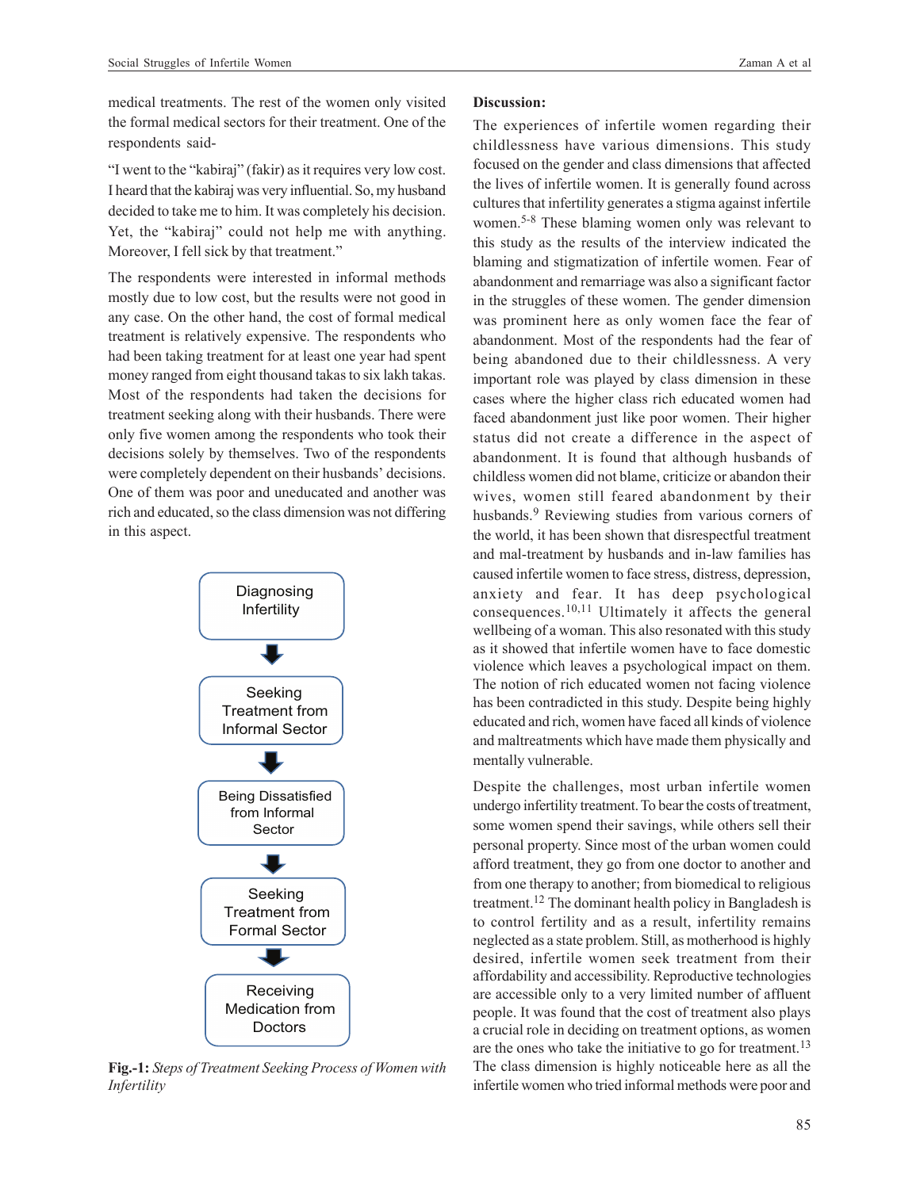medical treatments. The rest of the women only visited the formal medical sectors for their treatment. One of the respondents said-

"I went to the "kabiraj" (fakir) as it requires very low cost. I heard that the kabiraj was very influential. So, my husband decided to take me to him. It was completely his decision. Yet, the "kabiraj" could not help me with anything. Moreover, I fell sick by that treatment."

The respondents were interested in informal methods mostly due to low cost, but the results were not good in any case. On the other hand, the cost of formal medical treatment is relatively expensive. The respondents who had been taking treatment for at least one year had spent money ranged from eight thousand takas to six lakh takas. Most of the respondents had taken the decisions for treatment seeking along with their husbands. There were only five women among the respondents who took their decisions solely by themselves. Two of the respondents were completely dependent on their husbands' decisions. One of them was poor and uneducated and another was rich and educated, so the class dimension was not differing in this aspect.



**Fig.-1:** *Steps of Treatment Seeking Process of Women with Infertility*

### **Discussion:**

The experiences of infertile women regarding their childlessness have various dimensions. This study focused on the gender and class dimensions that affected the lives of infertile women. It is generally found across cultures that infertility generates a stigma against infertile women.5-8 These blaming women only was relevant to this study as the results of the interview indicated the blaming and stigmatization of infertile women. Fear of abandonment and remarriage was also a significant factor in the struggles of these women. The gender dimension was prominent here as only women face the fear of abandonment. Most of the respondents had the fear of being abandoned due to their childlessness. A very important role was played by class dimension in these cases where the higher class rich educated women had faced abandonment just like poor women. Their higher status did not create a difference in the aspect of abandonment. It is found that although husbands of childless women did not blame, criticize or abandon their wives, women still feared abandonment by their husbands.<sup>9</sup> Reviewing studies from various corners of the world, it has been shown that disrespectful treatment and mal-treatment by husbands and in-law families has caused infertile women to face stress, distress, depression, anxiety and fear. It has deep psychological consequences.10,11 Ultimately it affects the general wellbeing of a woman. This also resonated with this study as it showed that infertile women have to face domestic violence which leaves a psychological impact on them. The notion of rich educated women not facing violence has been contradicted in this study. Despite being highly educated and rich, women have faced all kinds of violence and maltreatments which have made them physically and mentally vulnerable.

Despite the challenges, most urban infertile women undergo infertility treatment. To bear the costs of treatment, some women spend their savings, while others sell their personal property. Since most of the urban women could afford treatment, they go from one doctor to another and from one therapy to another; from biomedical to religious treatment.12 The dominant health policy in Bangladesh is to control fertility and as a result, infertility remains neglected as a state problem. Still, as motherhood is highly desired, infertile women seek treatment from their affordability and accessibility. Reproductive technologies are accessible only to a very limited number of affluent people. It was found that the cost of treatment also plays a crucial role in deciding on treatment options, as women are the ones who take the initiative to go for treatment.<sup>13</sup> The class dimension is highly noticeable here as all the infertile women who tried informal methods were poor and